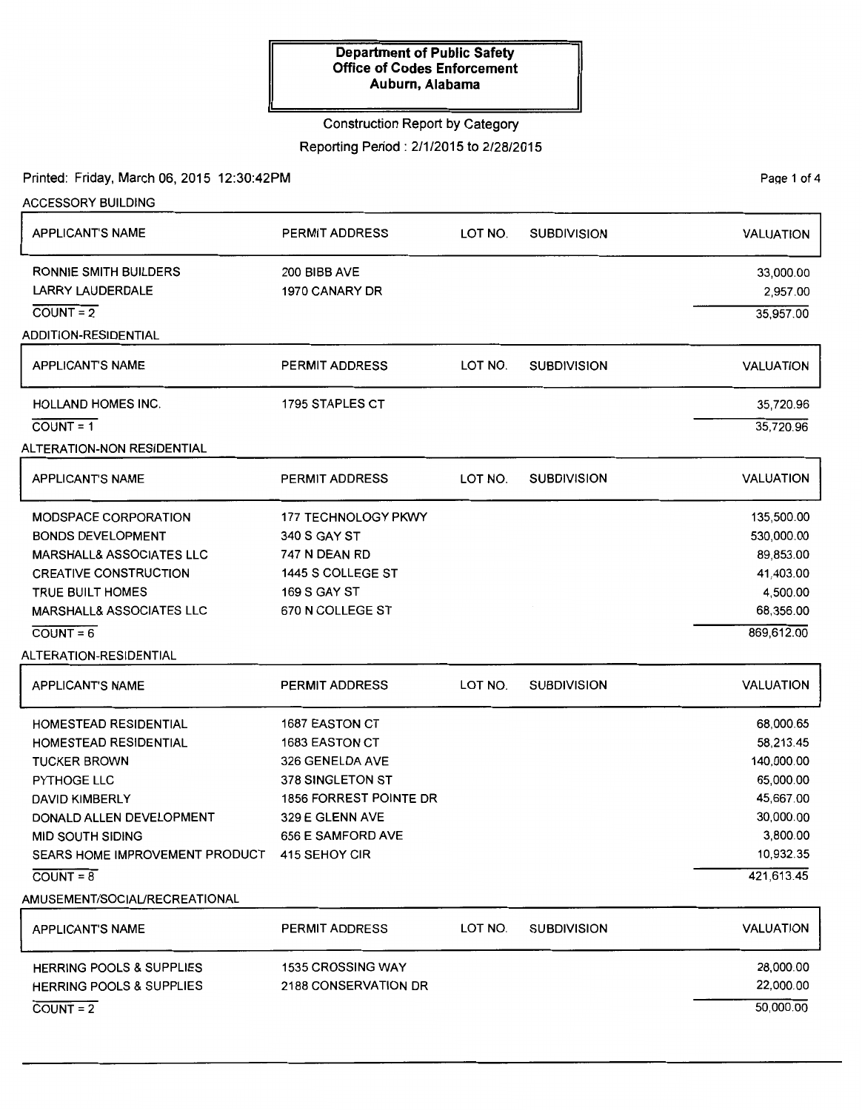# Construction Report by Category

Reporting Period : 2/1/2015 to 2/28/2015

Printed: Friday, March 06, 2015 12:30:42PM

Page 1 of 4

| <b>ACCESSORY BUILDING</b>                    |                               |         |                    |                  |
|----------------------------------------------|-------------------------------|---------|--------------------|------------------|
| <b>APPLICANT'S NAME</b>                      | <b>PERMIT ADDRESS</b>         | LOT NO. | <b>SUBDIVISION</b> | <b>VALUATION</b> |
| RONNIE SMITH BUILDERS                        | 200 BIBB AVE                  |         |                    | 33,000.00        |
| <b>LARRY LAUDERDALE</b>                      | 1970 CANARY DR                |         |                    | 2,957.00         |
| $COUNT = 2$                                  |                               |         |                    | 35,957.00        |
| <b>ADDITION-RESIDENTIAL</b>                  |                               |         |                    |                  |
| <b>APPLICANT'S NAME</b>                      | <b>PERMIT ADDRESS</b>         | LOT NO. | <b>SUBDIVISION</b> | <b>VALUATION</b> |
| <b>HOLLAND HOMES INC.</b>                    | 1795 STAPLES CT               |         |                    | 35,720.96        |
| $COUNT = 1$                                  |                               |         |                    | 35,720.96        |
| <b>ALTERATION-NON RESIDENTIAL</b>            |                               |         |                    |                  |
| <b>APPLICANT'S NAME</b>                      | <b>PERMIT ADDRESS</b>         | LOT NO. | <b>SUBDIVISION</b> | <b>VALUATION</b> |
| <b>MODSPACE CORPORATION</b>                  | <b>177 TECHNOLOGY PKWY</b>    |         |                    | 135,500.00       |
| <b>BONDS DEVELOPMENT</b>                     | 340 S GAY ST                  |         |                    | 530,000.00       |
| MARSHALL& ASSOCIATES LLC                     | 747 N DEAN RD                 |         |                    | 89,853.00        |
| <b>CREATIVE CONSTRUCTION</b>                 | 1445 S COLLEGE ST             |         |                    | 41,403.00        |
| TRUE BUILT HOMES                             | <b>169 S GAY ST</b>           |         |                    | 4,500.00         |
| MARSHALL& ASSOCIATES LLC                     | 670 N COLLEGE ST              |         |                    | 68,356.00        |
| $COUNT = 6$                                  |                               |         |                    | 869,612.00       |
| ALTERATION-RESIDENTIAL                       |                               |         |                    |                  |
| <b>APPLICANT'S NAME</b>                      | <b>PERMIT ADDRESS</b>         | LOT NO. | <b>SUBDIVISION</b> | <b>VALUATION</b> |
| HOMESTEAD RESIDENTIAL                        | 1687 EASTON CT                |         |                    | 68,000.65        |
| <b>HOMESTEAD RESIDENTIAL</b>                 | <b>1683 EASTON CT</b>         |         |                    | 58,213.45        |
| <b>TUCKER BROWN</b>                          | 326 GENELDA AVE               |         |                    | 140,000.00       |
| PYTHOGE LLC                                  | 378 SINGLETON ST              |         |                    | 65,000.00        |
| <b>DAVID KIMBERLY</b>                        | <b>1856 FORREST POINTE DR</b> |         |                    | 45,667.00        |
| DONALD ALLEN DEVELOPMENT                     | 329 E GLENN AVE               |         |                    | 30,000.00        |
| MID SOUTH SIDING                             | 656 E SAMFORD AVE             |         |                    | 3,800.00         |
| SEARS HOME IMPROVEMENT PRODUCT 415 SEHOY CIR |                               |         |                    | 10,932.35        |
| $COUNT = 8$                                  |                               |         |                    | 421,613.45       |
| AMUSEMENT/SOCIAL/RECREATIONAL                |                               |         |                    |                  |
| <b>APPLICANT'S NAME</b>                      | <b>PERMIT ADDRESS</b>         | LOT NO. | <b>SUBDIVISION</b> | <b>VALUATION</b> |
| <b>HERRING POOLS &amp; SUPPLIES</b>          | <b>1535 CROSSING WAY</b>      |         |                    | 28,000.00        |
| <b>HERRING POOLS &amp; SUPPLIES</b>          | 2188 CONSERVATION DR          |         |                    | 22,000.00        |
| $COUNT = 2$                                  |                               |         |                    | 50,000.00        |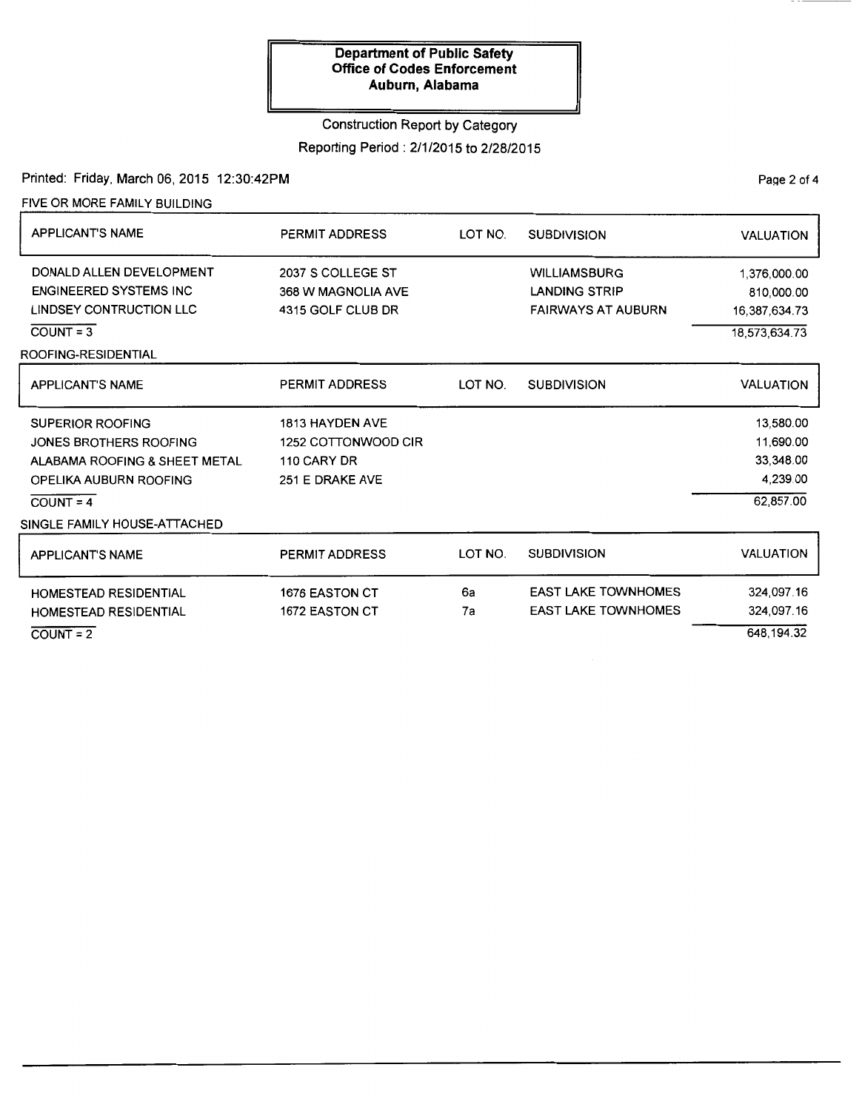## Construction Report by Category

Reporting Period : 2/1/2015 to 2/28/2015

Printed: Friday, March 06, 2015 12:30:42PM

FIVE OR MORE FAMILY BUILDING

| <b>APPLICANT'S NAME</b>                                                                                                                                     | <b>PERMIT ADDRESS</b>                                                           | LOT NO.  | <b>SUBDIVISION</b>                                                       | <b>VALUATION</b>                                             |
|-------------------------------------------------------------------------------------------------------------------------------------------------------------|---------------------------------------------------------------------------------|----------|--------------------------------------------------------------------------|--------------------------------------------------------------|
| DONALD ALLEN DEVELOPMENT<br><b>ENGINEERED SYSTEMS INC</b><br><b>LINDSEY CONTRUCTION LLC</b><br>$COUNT = 3$<br>ROOFING-RESIDENTIAL                           | 2037 S COLLEGE ST<br>368 W MAGNOLIA AVE<br>4315 GOLF CLUB DR                    |          | <b>WILLIAMSBURG</b><br><b>LANDING STRIP</b><br><b>FAIRWAYS AT AUBURN</b> | 1,376,000.00<br>810,000.00<br>16,387,634.73<br>18,573,634.73 |
| <b>APPLICANT'S NAME</b>                                                                                                                                     | <b>PERMIT ADDRESS</b>                                                           | LOT NO.  | <b>SUBDIVISION</b>                                                       | <b>VALUATION</b>                                             |
| <b>SUPERIOR ROOFING</b><br>JONES BROTHERS ROOFING<br>ALABAMA ROOFING & SHEET METAL<br>OPELIKA AUBURN ROOFING<br>$COUNT = 4$<br>SINGLE FAMILY HOUSE-ATTACHED | <b>1813 HAYDEN AVE</b><br>1252 COTTONWOOD CIR<br>110 CARY DR<br>251 E DRAKE AVE |          |                                                                          | 13,580.00<br>11,690.00<br>33,348.00<br>4,239.00<br>62,857.00 |
| <b>APPLICANT'S NAME</b>                                                                                                                                     | <b>PERMIT ADDRESS</b>                                                           | LOT NO.  | <b>SUBDIVISION</b>                                                       | <b>VALUATION</b>                                             |
| HOMESTEAD RESIDENTIAL<br><b>HOMESTEAD RESIDENTIAL</b><br>$COUNT = 2$                                                                                        | 1676 EASTON CT<br>1672 EASTON CT                                                | 6a<br>7a | <b>EAST LAKE TOWNHOMES</b><br><b>EAST LAKE TOWNHOMES</b>                 | 324,097.16<br>324,097.16<br>648,194.32                       |

PaQe 2 of 4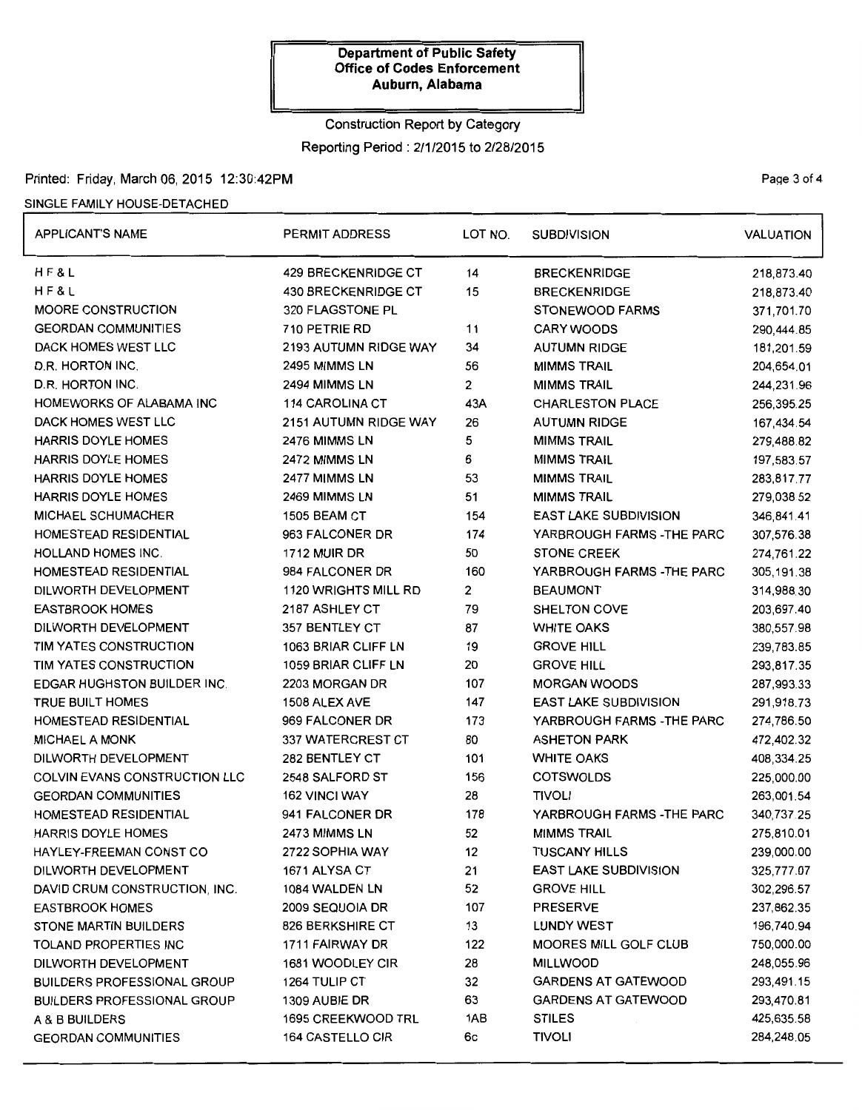# Construction Report by Category

Reporting Period : 2/1/2015 to 2/28/2015

## Printed: Friday, March 06, 2015 12:30:42PM **Page 3 of 4**

#### SINGLE FAMILY HOUSE-DETACHED

| <b>APPLICANT'S NAME</b>              | PERMIT ADDRESS              | LOT NO.        | <b>SUBDIVISION</b>           | <b>VALUATION</b> |
|--------------------------------------|-----------------------------|----------------|------------------------------|------------------|
| HF&L                                 | <b>429 BRECKENRIDGE CT</b>  | 14             | <b>BRECKENRIDGE</b>          | 218,873.40       |
| H F & L                              | <b>430 BRECKENRIDGE CT</b>  | 15             | <b>BRECKENRIDGE</b>          | 218,873.40       |
| <b>MOORE CONSTRUCTION</b>            | 320 FLAGSTONE PL            |                | <b>STONEWOOD FARMS</b>       | 371,701.70       |
| <b>GEORDAN COMMUNITIES</b>           | 710 PETRIE RD               | 11             | <b>CARY WOODS</b>            | 290,444.85       |
| DACK HOMES WEST LLC                  | 2193 AUTUMN RIDGE WAY       | 34             | <b>AUTUMN RIDGE</b>          | 181,201.59       |
| D.R. HORTON INC.                     | 2495 MIMMS LN               | 56             | <b>MIMMS TRAIL</b>           | 204,654.01       |
| D.R. HORTON INC.                     | 2494 MIMMS LN               | $\overline{2}$ | <b>MIMMS TRAIL</b>           | 244,231.96       |
| HOMEWORKS OF ALABAMA INC             | 114 CAROLINA CT             | 43A            | <b>CHARLESTON PLACE</b>      | 256,395.25       |
| DACK HOMES WEST LLC                  | 2151 AUTUMN RIDGE WAY       | 26             | <b>AUTUMN RIDGE</b>          | 167,434.54       |
| <b>HARRIS DOYLE HOMES</b>            | 2476 MIMMS LN               | 5              | <b>MIMMS TRAIL</b>           | 279,488.82       |
| <b>HARRIS DOYLE HOMES</b>            | 2472 MIMMS LN               | 6              | <b>MIMMS TRAIL</b>           | 197,583.57       |
| <b>HARRIS DOYLE HOMES</b>            | 2477 MIMMS LN               | 53             | <b>MIMMS TRAIL</b>           | 283,817.77       |
| HARRIS DOYLE HOMES                   | 2469 MIMMS LN               | 51             | <b>MIMMS TRAIL</b>           | 279,038.52       |
| <b>MICHAEL SCHUMACHER</b>            | <b>1505 BEAM CT</b>         | 154            | <b>EAST LAKE SUBDIVISION</b> | 346,841.41       |
| HOMESTEAD RESIDENTIAL                | 963 FALCONER DR             | 174            | YARBROUGH FARMS - THE PARC   | 307,576.38       |
| <b>HOLLAND HOMES INC.</b>            | <b>1712 MUIR DR</b>         | 50             | <b>STONE CREEK</b>           | 274,761.22       |
| HOMESTEAD RESIDENTIAL                | 984 FALCONER DR             | 160            | YARBROUGH FARMS - THE PARC   | 305,191.38       |
| DILWORTH DEVELOPMENT                 | <b>1120 WRIGHTS MILL RD</b> | 2              | <b>BEAUMONT</b>              | 314,988.30       |
| <b>EASTBROOK HOMES</b>               | 2187 ASHLEY CT              | 79             | SHELTON COVE                 | 203,697.40       |
| DILWORTH DEVELOPMENT                 | 357 BENTLEY CT              | 87             | <b>WHITE OAKS</b>            | 380,557.98       |
| TIM YATES CONSTRUCTION               | 1063 BRIAR CLIFF LN         | 19             | <b>GROVE HILL</b>            | 239,783.85       |
| TIM YATES CONSTRUCTION               | 1059 BRIAR CLIFF LN         | 20             | <b>GROVE HILL</b>            | 293,817.35       |
| <b>EDGAR HUGHSTON BUILDER INC.</b>   | 2203 MORGAN DR              | 107            | <b>MORGAN WOODS</b>          | 287,993.33       |
| <b>TRUE BUILT HOMES</b>              | 1508 ALEX AVE               | 147            | <b>EAST LAKE SUBDIVISION</b> | 291,918.73       |
| <b>HOMESTEAD RESIDENTIAL</b>         | 969 FALCONER DR             | 173            | YARBROUGH FARMS -THE PARC    | 274,786.50       |
| <b>MICHAEL A MONK</b>                | 337 WATERCREST CT           | 80             | <b>ASHETON PARK</b>          | 472,402.32       |
| DILWORTH DEVELOPMENT                 | 282 BENTLEY CT              | 101            | <b>WHITE OAKS</b>            | 408,334.25       |
| <b>COLVIN EVANS CONSTRUCTION LLC</b> | 2548 SALFORD ST             | 156            | <b>COTSWOLDS</b>             | 225,000.00       |
| <b>GEORDAN COMMUNITIES</b>           | <b>162 VINCI WAY</b>        | 28             | <b>TIVOLI</b>                | 263,001.54       |
| HOMESTEAD RESIDENTIAL                | 941 FALCONER DR             | 178            | YARBROUGH FARMS -THE PARC    | 340,737.25       |
| <b>HARRIS DOYLE HOMES</b>            | 2473 MIMMS LN               | 52             | <b>MIMMS TRAIL</b>           | 275,810.01       |
| HAYLEY-FREEMAN CONST CO              | 2722 SOPHIA WAY             | 12             | <b>TUSCANY HILLS</b>         | 239,000.00       |
| DILWORTH DEVELOPMENT                 | 1671 ALYSA CT               | 21             | <b>EAST LAKE SUBDIVISION</b> | 325,777.07       |
| DAVID CRUM CONSTRUCTION, INC.        | 1084 WALDEN LN              | 52             | <b>GROVE HILL</b>            | 302,296.57       |
| <b>EASTBROOK HOMES</b>               | 2009 SEQUOIA DR             | 107            | <b>PRESERVE</b>              | 237,862.35       |
| <b>STONE MARTIN BUILDERS</b>         | 826 BERKSHIRE CT            | 13             | <b>LUNDY WEST</b>            | 196,740.94       |
| TOLAND PROPERTIES INC                | 1711 FAIRWAY DR             | 122            | <b>MOORES MILL GOLF CLUB</b> | 750,000.00       |
| DILWORTH DEVELOPMENT                 | 1681 WOODLEY CIR            | 28             | <b>MILLWOOD</b>              | 248,055.96       |
| <b>BUILDERS PROFESSIONAL GROUP</b>   | 1264 TULIP CT               | 32             | <b>GARDENS AT GATEWOOD</b>   | 293,491.15       |
| <b>BUILDERS PROFESSIONAL GROUP</b>   | 1309 AUBIE DR               | 63             | <b>GARDENS AT GATEWOOD</b>   | 293,470.81       |
| A & B BUILDERS                       | <b>1695 CREEKWOOD TRL</b>   | 1AB            | <b>STILES</b>                | 425,635.58       |
| <b>GEORDAN COMMUNITIES</b>           | <b>164 CASTELLO CIR</b>     | 6с             | <b>TIVOLI</b>                | 284,248.05       |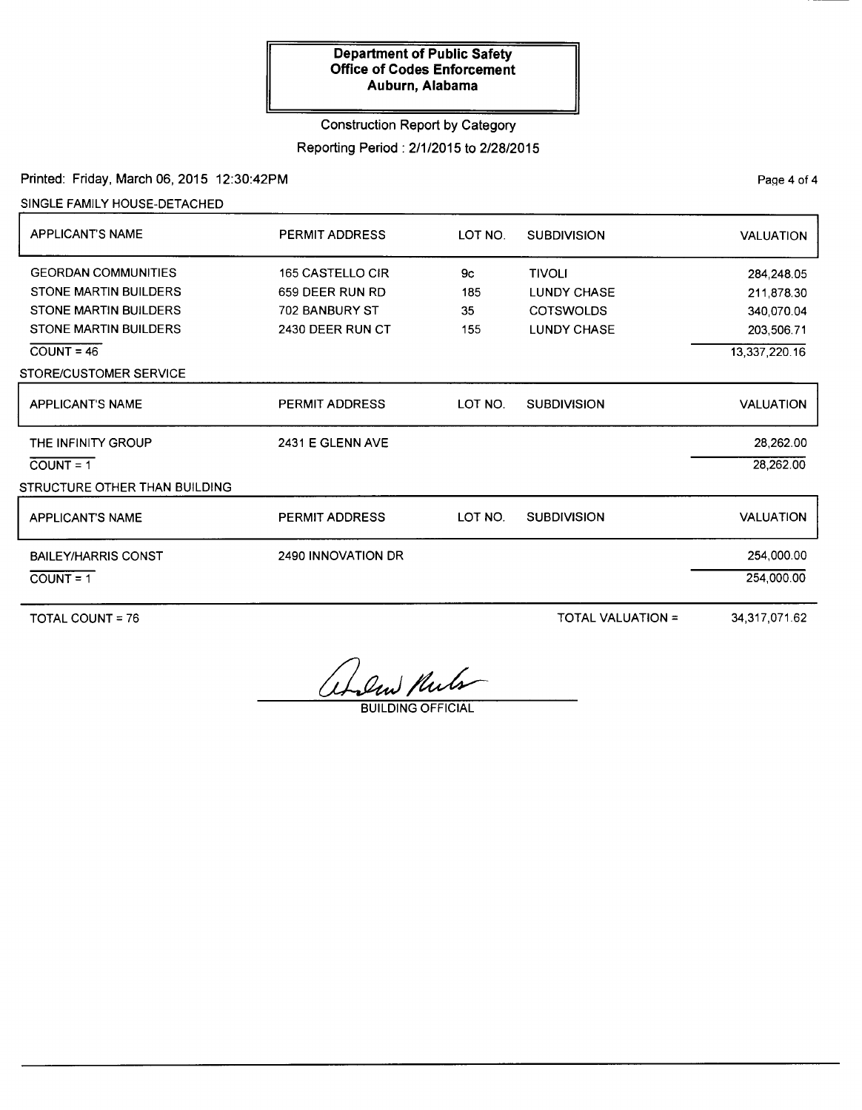# Construction Report by Category Reporting Period : 2/1/2015 to 2/28/2015

## Printed: Friday, March 06, 2015 12:30:42PM

SINGLE FAMILY HOUSE-DETACHED

| <b>APPLICANT'S NAME</b>       | <b>PERMIT ADDRESS</b>   | LOT NO. | <b>SUBDIVISION</b> | <b>VALUATION</b> |
|-------------------------------|-------------------------|---------|--------------------|------------------|
| <b>GEORDAN COMMUNITIES</b>    | <b>165 CASTELLO CIR</b> | 9с      | <b>TIVOLI</b>      | 284,248.05       |
| <b>STONE MARTIN BUILDERS</b>  | 659 DEER RUN RD         | 185     | <b>LUNDY CHASE</b> | 211,878.30       |
| <b>STONE MARTIN BUILDERS</b>  | <b>702 BANBURY ST</b>   | 35      | <b>COTSWOLDS</b>   | 340,070.04       |
| <b>STONE MARTIN BUILDERS</b>  | 2430 DEER RUN CT        | 155     | <b>LUNDY CHASE</b> | 203,506.71       |
| $COUNT = 46$                  |                         |         |                    | 13,337,220.16    |
| STORE/CUSTOMER SERVICE        |                         |         |                    |                  |
| <b>APPLICANT'S NAME</b>       | <b>PERMIT ADDRESS</b>   | LOT NO. | <b>SUBDIVISION</b> | <b>VALUATION</b> |
| THE INFINITY GROUP            | 2431 E GLENN AVE        |         |                    | 28,262.00        |
| $COUNT = 1$                   |                         |         |                    | 28,262.00        |
| STRUCTURE OTHER THAN BUILDING |                         |         |                    |                  |
| <b>APPLICANT'S NAME</b>       | <b>PERMIT ADDRESS</b>   | LOT NO. | <b>SUBDIVISION</b> | <b>VALUATION</b> |
| <b>BAILEY/HARRIS CONST</b>    | 2490 INNOVATION DR      |         |                    | 254,000.00       |
| $COUNT = 1$                   |                         |         |                    | 254,000.00       |
|                               |                         |         |                    |                  |

TOTAL COUNT= 76

TOTAL VALUATION=

34,317,071.62

them Kula

**BUILDING OFFICIAL** 

PaQe 4 of 4